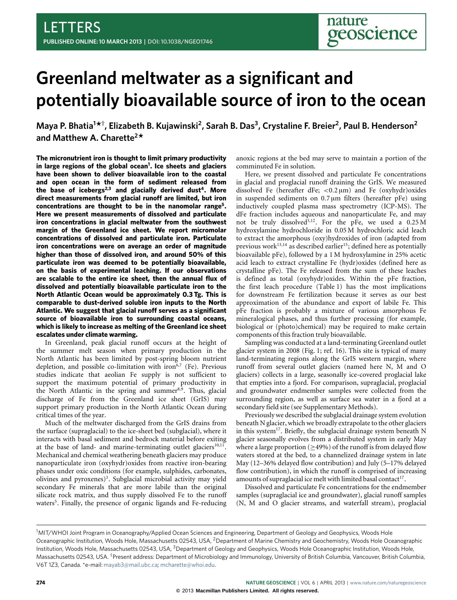# **Greenland meltwater as a significant and potentially bioavailable source of iron to the ocean**

**Maya P. Bhatia<sup>1</sup> \* † , Elizabeth B. Kujawinski<sup>2</sup> , Sarah B. Das<sup>3</sup> , Crystaline F. Breier<sup>2</sup> , Paul B. Henderson<sup>2</sup> and Matthew A. Charette<sup>2</sup> \***

**The micronutrient iron is thought to limit primary productivity in large regions of the global ocean[1](#page-3-0) . Ice sheets and glaciers have been shown to deliver bioavailable iron to the coastal and open ocean in the form of sediment released from the base of icebergs[2,](#page-3-1)[3](#page-3-2) and glacially derived dust[4](#page-3-3) . More direct measurements from glacial runoff are limited, but iron concentrations are thought to be in the nanomolar range[5](#page-3-4) . Here we present measurements of dissolved and particulate iron concentrations in glacial meltwater from the southwest margin of the Greenland ice sheet. We report micromolar concentrations of dissolved and particulate iron. Particulate iron concentrations were on average an order of magnitude higher than those of dissolved iron, and around 50% of this particulate iron was deemed to be potentially bioavailable, on the basis of experimental leaching. If our observations are scalable to the entire ice sheet, then the annual flux of dissolved and potentially bioavailable particulate iron to the North Atlantic Ocean would be approximately 0.3 Tg. This is comparable to dust-derived soluble iron inputs to the North Atlantic. We suggest that glacial runoff serves as a significant source of bioavailable iron to surrounding coastal oceans, which is likely to increase as melting of the Greenland ice sheet escalates under climate warming.**

In Greenland, peak glacial runoff occurs at the height of the summer melt season when primary production in the North Atlantic has been limited by post-spring bloom nutrient depletion, and possible co-limitation with iron<sup>[6](#page-3-5)[,7](#page-3-6)</sup> (Fe). Previous studies indicate that aeolian Fe supply is not sufficient to support the maximum potential of primary productivity in the North Atlantic in the spring and summer $8,9$  $8,9$ . Thus, glacial discharge of Fe from the Greenland ice sheet (GrIS) may support primary production in the North Atlantic Ocean during critical times of the year.

Much of the meltwater discharged from the GrIS drains from the surface (supraglacial) to the ice-sheet bed (subglacial), where it interacts with basal sediment and bedrock material before exiting at the base of land- and marine-terminating outlet glaciers<sup>[10,](#page-3-9)[11](#page-3-10)</sup>. Mechanical and chemical weathering beneath glaciers may produce nanoparticulate iron (oxyhydr)oxides from reactive iron-bearing phases under oxic conditions (for example, sulphides, carbonates, olivines and pyroxenes)<sup>[3](#page-3-2)</sup>. Subglacial microbial activity may yield secondary Fe minerals that are more labile than the original silicate rock matrix, and thus supply dissolved Fe to the runoff waters<sup>[5](#page-3-4)</sup>. Finally, the presence of organic ligands and Fe-reducing

anoxic regions at the bed may serve to maintain a portion of the comminuted Fe in solution.

Here, we present dissolved and particulate Fe concentrations in glacial and proglacial runoff draining the GrIS. We measured dissolved Fe (hereafter dFe;  $\langle 0.2 \mu m \rangle$  and Fe (oxyhydr)oxides in suspended sediments on  $0.7 \mu m$  filters (hereafter pFe) using inductively coupled plasma mass spectrometry (ICP-MS). The dFe fraction includes aqueous and nanoparticulate Fe, and may not be truly dissolved<sup>[3](#page-3-2)[,12](#page-3-11)</sup>. For the pFe, we used a  $0.25 M$ hydroxylamine hydrochloride in 0.05 M hydrochloric acid leach to extract the amorphous (oxy)hydroxides of iron (adapted from previous work $^{13,14}$  $^{13,14}$  $^{13,14}$  $^{13,14}$  as described earlier<sup>[15](#page-3-14)</sup>; defined here as potentially bioavailable pFe), followed by a 1 M hydroxylamine in 25% acetic acid leach to extract crystalline Fe (hydr)oxides (defined here as crystalline pFe). The Fe released from the sum of these leaches is defined as total (oxyhydr)oxides. Within the pFe fraction, the first leach procedure [\(Table 1\)](#page-1-0) has the most implications for downstream Fe fertilization because it serves as our best approximation of the abundance and export of labile Fe. This pFe fraction is probably a mixture of various amorphous Fe mineralogical phases, and thus further processing (for example, biological or (photo)chemical) may be required to make certain components of this fraction truly bioavailable.

Sampling was conducted at a land-terminating Greenland outlet glacier system in 2008 [\(Fig. 1;](#page-1-1) ref. [16\)](#page-3-15). This site is typical of many land-terminating regions along the GrIS western margin, where runoff from several outlet glaciers (named here N, M and O glaciers) collects in a large, seasonally ice-covered proglacial lake that empties into a fjord. For comparison, supraglacial, proglacial and groundwater endmember samples were collected from the surrounding region, as well as surface sea water in a fjord at a secondary field site (see Supplementary Methods).

Previously we described the subglacial drainage system evolution beneath N glacier, which we broadly extrapolate to the other glaciers in this system $^{17}.$  $^{17}.$  $^{17}.$  Briefly, the subglacial drainage system beneath  $\rm N$ glacier seasonally evolves from a distributed system in early May where a large proportion ( $\geq$ 49%) of the runoff is from delayed flow waters stored at the bed, to a channelized drainage system in late May (12–36% delayed flow contribution) and July (5–17% delayed flow contribution), in which the runoff is comprised of increasing amounts of supraglacial ice melt with limited basal contact<sup>[17](#page-3-16)</sup>.

Dissolved and particulate Fe concentrations for the endmember samples (supraglacial ice and groundwater), glacial runoff samples (N, M and O glacier streams, and waterfall stream), proglacial

<sup>&</sup>lt;sup>1</sup>MIT/WHOI Joint Program in Oceanography/Applied Ocean Sciences and Engineering, Department of Geology and Geophysics, Woods Hole Oceanographic Institution, Woods Hole, Massachusetts 02543, USA, <sup>2</sup>Department of Marine Chemistry and Geochemistry, Woods Hole Oceanographic Institution, Woods Hole, Massachusetts 02543, USA, <sup>3</sup>Department of Geology and Geophysics, Woods Hole Oceanographic Institution, Woods Hole, Massachusetts 02543, USA. †Present address: Department of Microbiology and Immunology, University of British Columbia, Vancouver, British Columbia, V6T 1Z3, Canada. \*e-mail: [mayab3@mail.ubc.ca;](mailto:mayab3@mail.ubc.ca) [mcharette@whoi.edu.](mailto:mcharette@whoi.edu)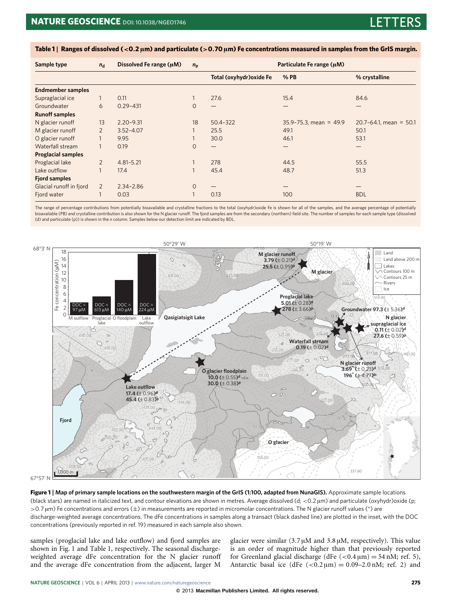| Sample type               | $n_{\rm d}$    | Dissolved Fe range (µM) | $n_{p}$      | Particulate Fe range (µM) |                             |                             |
|---------------------------|----------------|-------------------------|--------------|---------------------------|-----------------------------|-----------------------------|
|                           |                |                         |              | Total (oxyhydr) oxide Fe  | % PB                        | % crystalline               |
| <b>Endmember samples</b>  |                |                         |              |                           |                             |                             |
| Supraglacial ice          |                | 0.11                    |              | 27.6                      | 15.4                        | 84.6                        |
| Groundwater               | 6              | $0.29 - 431$            | $\circ$      |                           |                             |                             |
| <b>Runoff samples</b>     |                |                         |              |                           |                             |                             |
| N glacier runoff          | 13             | $2.20 - 9.31$           | 18           | 50.4-322                  | $35.9 - 75.3$ , mean = 49.9 | $20.7 - 64.1$ , mean = 50.1 |
| M glacier runoff          | $\overline{2}$ | $3.52 - 4.07$           |              | 25.5                      | 49.1                        | 50.1                        |
| O glacier runoff          |                | 9.95                    |              | 30.0                      | 46.1                        | 53.1                        |
| Waterfall stream          |                | 0.19                    | $\circ$      |                           |                             |                             |
| <b>Proglacial samples</b> |                |                         |              |                           |                             |                             |
| Proglacial lake           | $\overline{2}$ | $4.81 - 5.21$           |              | 278                       | 44.5                        | 55.5                        |
| Lake outflow              |                | 17.4                    |              | 45.4                      | 48.7                        | 51.3                        |
| <b>Fjord samples</b>      |                |                         |              |                           |                             |                             |
| Glacial runoff in fjord   | 2              | $2.34 - 2.86$           | $\mathbf{O}$ |                           |                             |                             |
| Fjord water               |                | 0.03                    |              | 0.13                      | 100                         | <b>BDL</b>                  |

<span id="page-1-0"></span>**Table 1** | **Ranges of dissolved (**<**0**.**2** µ**m) and particulate (**>**0**.**70** µ**m) Fe concentrations measured in samples from the GrIS margin.**

The range of percentage contributions from potentially bioavailable and crystalline fractions to the total (oxyhydr)oxide Fe is shown for all of the samples, and the average percentage of potentially bioavailable (PB) and crystalline contribution is also shown for the N glacier runoff. The fjord samples are from the secondary (northern) field site. The number of samples for each sample type (dissolved (d) and particulate (p)) is shown in the *n* column. Samples below our detection limit are indicated by BDL.



 $67°57'$ 

<span id="page-1-1"></span>**Figure 1** | **Map of primary sample locations on the southwestern margin of the GrIS (1:100, adapted from NunaGIS).** Approximate sample locations (black stars) are named in italicized text, and contour elevations are shown in metres. Average dissolved (d; <0.2 µm) and particulate (oxyhydr)oxide (p; >0.7 µm) Fe concentrations and errors (±) in measurements are reported in micromolar concentrations. The N glacier runoff values (\*) are discharge-weighted average concentrations. The dFe concentrations in samples along a transact (black dashed line) are plotted in the inset, with the DOC concentrations (previously reported in ref. [19\)](#page-3-17) measured in each sample also shown.

samples (proglacial lake and lake outflow) and fjord samples are shown in [Fig. 1](#page-1-1) and [Table 1,](#page-1-0) respectively. The seasonal dischargeweighted average dFe concentration for the N glacier runoff and the average dFe concentration from the adjacent, larger M

glacier were similar  $(3.7 \mu M$  and  $3.8 \mu M$ , respectively). This value is an order of magnitude higher than that previously reported for Greenland glacial discharge (dFe  $(<0.4 \,\mu m) = 54 \,\text{nM}$ ; ref. [5\)](#page-3-4), Antarctic basal ice (dFe  $(<0.2 \,\mu m) = 0.09-2.0 \,\text{nM}$ ; ref. [2\)](#page-3-1) and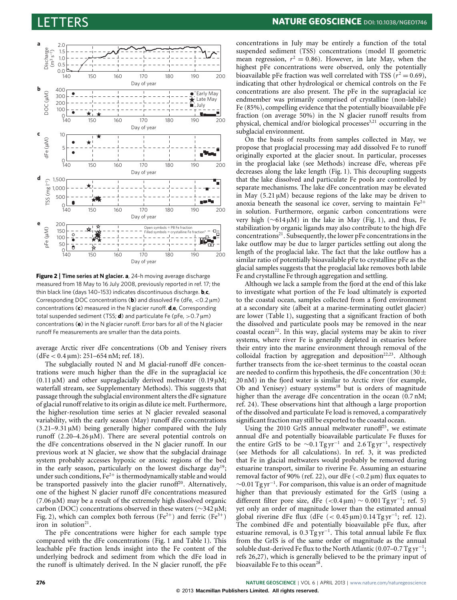

<span id="page-2-0"></span>**Figure 2** | **Time series at N glacier. a**, 24-h moving average discharge measured from 18 May to 16 July 2008, previously reported in ref. [17;](#page-3-16) the thin black line (days 140–153) indicates discontinuous discharge. **b**,**c**, Corresponding DOC concentrations ( $\mathbf{b}$ ) and dissolved Fe (dFe,  $<$  0.2  $\mu$ m) concentrations (**c**) measured in the N glacier runoff. **d**,**e**, Corresponding total suspended sediment (TSS;  $d$ ) and particulate Fe (pFe,  $>$  0.7  $\mu$ m) concentrations (**e**) in the N glacier runoff. Error bars for all of the N glacier runoff Fe measurements are smaller than the data points.

average Arctic river dFe concentrations (Ob and Yenisey rivers  $(dFe < 0.4 \,\text{\mu m})$ : 251–654 nM; ref. [18\)](#page-3-18).

The subglacially routed N and M glacial-runoff dFe concentrations were much higher than the dFe in the supraglacial ice  $(0.11 \,\mu M)$  and other supraglacially derived meltwater  $(0.19 \,\mu M;$ waterfall stream, see Supplementary Methods). This suggests that passage through the subglacial environment alters the dFe signature of glacial runoff relative to its origin as dilute ice melt. Furthermore, the higher-resolution time series at N glacier revealed seasonal variability, with the early season (May) runoff dFe concentrations  $(3.21-9.31 \,\mu M)$  being generally higher compared with the July runoff  $(2.20-4.26 \,\mu\text{M})$ . There are several potential controls on the dFe concentrations observed in the N glacier runoff. In our previous work at N glacier, we show that the subglacial drainage system probably accesses hypoxic or anoxic regions of the bed in the early season, particularly on the lowest discharge day<sup>[19](#page-3-17)</sup>; under such conditions,  $Fe^{2+}$  is thermodynamically stable and would be transported passively into the glacier runoff $20$ . Alternatively, one of the highest N glacier runoff dFe concentrations measured  $(7.06 \,\mu\text{M})$  may be a result of the extremely high dissolved organic carbon (DOC) concentrations observed in these waters (∼342 µM; [Fig. 2\)](#page-2-0), which can complex both ferrous (Fe<sup>2+</sup>) and ferric (Fe<sup>3+</sup>) iron in solution<sup>[21](#page-4-1)</sup>.

The pFe concentrations were higher for each sample type compared with the dFe concentrations [\(Fig. 1](#page-1-1) and [Table 1\)](#page-1-0). This leachable pFe fraction lends insight into the Fe content of the underlying bedrock and sediment from which the dFe load in the runoff is ultimately derived. In the N glacier runoff, the pFe concentrations in July may be entirely a function of the total suspended sediment (TSS) concentrations (model II geometric mean regression,  $r^2 = 0.86$ ). However, in late May, when the highest pFe concentrations were observed, only the potentially bioavailable pFe fraction was well correlated with TSS  $(r^2 = 0.69)$ , indicating that other hydrological or chemical controls on the Fe concentrations are also present. The pFe in the supraglacial ice endmember was primarily comprised of crystalline (non-labile) Fe (85%), compelling evidence that the potentially bioavailable pFe fraction (on average 50%) in the N glacier runoff results from physical, chemical and/or biological processes<sup>[3,](#page-3-2)[21](#page-4-1)</sup> occurring in the subglacial environment.

On the basis of results from samples collected in May, we propose that proglacial processing may add dissolved Fe to runoff originally exported at the glacier snout. In particular, processes in the proglacial lake (see Methods) increase dFe, whereas pFe decreases along the lake length [\(Fig. 1\)](#page-1-1). This decoupling suggests that the lake dissolved and particulate Fe pools are controlled by separate mechanisms. The lake dFe concentration may be elevated in May  $(5.21 \mu M)$  because regions of the lake may be driven to anoxia beneath the seasonal ice cover, serving to maintain  $Fe^{2+}$ in solution. Furthermore, organic carbon concentrations were very high (∼614 µM) in the lake in May [\(Fig. 1\)](#page-1-1), and thus, Fe stabilization by organic ligands may also contribute to the high dFe  $concentrations<sup>21</sup>$  $concentrations<sup>21</sup>$  $concentrations<sup>21</sup>$ . Subsequently, the lower pFe concentrations in the lake outflow may be due to larger particles settling out along the length of the proglacial lake. The fact that the lake outflow has a similar ratio of potentially bioavailable pFe to crystalline pFe as the glacial samples suggests that the proglacial lake removes both labile Fe and crystalline Fe through aggregation and settling.

Although we lack a sample from the fjord at the end of this lake to investigate what portion of the Fe load ultimately is exported to the coastal ocean, samples collected from a fjord environment at a secondary site (albeit at a marine-terminating outlet glacier) are lower [\(Table 1\)](#page-1-0), suggesting that a significant fraction of both the dissolved and particulate pools may be removed in the near coastal ocean<sup>[22](#page-4-2)</sup>. In this way, glacial systems may be akin to river systems, where river Fe is generally depleted in estuaries before their entry into the marine environment through removal of the colloidal fraction by aggregation and deposition<sup>[22](#page-4-2)[,23](#page-4-3)</sup>. Although further transects from the ice-sheet terminus to the coastal ocean are needed to confirm this hypothesis, the dFe concentration (30 $\pm$ 20 nM) in the fjord water is similar to Arctic river (for example, Ob and Yenisey) estuary systems<sup>[18](#page-3-18)</sup> but is orders of magnitude higher than the average dFe concentration in the ocean (0.7 nM; ref. [24\)](#page-4-4). These observations hint that although a large proportion of the dissolved and particulate Fe load is removed, a comparatively significant fraction may still be exported to the coastal ocean.

Using the 2010 GrIS annual meltwater runoff<sup>[25](#page-4-5)</sup>, we estimate annual dFe and potentially bioavailable particulate Fe fluxes for the entire GrIS to be  $\sim$ 0.1 Tg yr<sup>-1</sup> and 2.6 Tg yr<sup>-1</sup>, respectively (see Methods for all calculations). In ref. [3,](#page-3-2) it was predicted that Fe in glacial meltwaters would probably be removed during estuarine transport, similar to riverine Fe. Assuming an estuarine removal factor of 90% (ref. [22\)](#page-4-2), our dFe ( $<$ 0.2 µm) flux equates to ∼0.01 Tg yr<sup>−</sup><sup>1</sup> . For comparison, this value is an order of magnitude higher than that previously estimated for the GrIS (using a different filter pore size, dFe (<0.4 µm) ~ 0.001 Tg yr<sup>-1</sup>; ref. [5\)](#page-3-4) yet only an order of magnitude lower than the estimated annual global riverine dFe flux (dFe  $(< 0.45 \,\mathrm{\upmu m}) 0.14 \,\mathrm{Tg} \,\mathrm{yr}^{-1}$ ; ref. [12\)](#page-3-11). The combined dFe and potentially bioavailable pFe flux, after estuarine removal, is  $0.3 \text{ Tg yr}^{-1}$ . This total annual labile Fe flux from the GrIS is of the same order of magnitude as the annual soluble dust-derived Fe flux to the North Atlantic (0.07-0.7 Tg yr<sup>-1</sup>; refs [26,](#page-4-6)[27\)](#page-4-7), which is generally believed to be the primary input of bioavailable Fe to this ocean<sup>[28](#page-4-8)</sup>.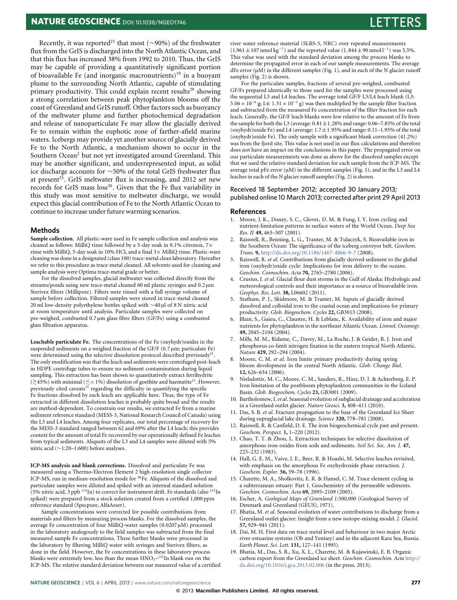# **NATURE GEOSCIENCE** DOI: 10.1038/NGE01746

Recently, it was reported<sup>[25](#page-4-5)</sup> that most (∼90%) of the freshwater flux from the GrIS is discharged into the North Atlantic Ocean, and that this flux has increased 38% from 1992 to 2010. Thus, the GrIS may be capable of providing a quantitatively significant portion of bioavailable Fe (and inorganic macronutrients)<sup>[19](#page-3-17)</sup> in a buoyant plume to the surrounding North Atlantic, capable of stimulating primary productivity. This could explain recent results<sup>[29](#page-4-9)</sup> showing a strong correlation between peak phytoplankton blooms off the coast of Greenland and GrIS runoff. Other factors such as buoyancy of the meltwater plume and further photochemical degradation and release of nanoparticulate Fe may allow the glacially derived Fe to remain within the euphotic zone of farther-afield marine waters. Icebergs may provide yet another source of glacially derived Fe to the North Atlantic, a mechanism shown to occur in the Southern Ocean<sup>[2](#page-3-1)</sup> but not yet investigated around Greenland. This may be another significant, and underrepresented input, as solid ice discharge accounts for ∼50% of the total GrIS freshwater flux at present<sup>[25](#page-4-5)</sup>. GrIS meltwater flux is increasing, and 2012 set new records for GrIS mass loss<sup>[30](#page-4-10)</sup>. Given that the Fe flux variability in this study was most sensitive to meltwater discharge, we would expect this glacial contribution of Fe to the North Atlantic Ocean to continue to increase under future warming scenarios.

### **Methods**

**Sample collection.** All plastic-ware used in Fe sample collection and analysis was cleaned as follows: MilliQ rinse followed by a 5-day soak in 0.1% citronox, 7× rinse with MilliQ, 5-day soak in 10% HCl, and a final 3× MilliQ rinse. Plastic-ware cleaning was done in a designated (class 100) trace-metal clean laboratory. Hereafter we refer to this procedure as trace-metal cleaned. All solvents used for cleaning and sample analysis were Optima trace-metal grade or better.

For the dissolved samples, glacial meltwater was collected directly from the streams/ponds using new trace-metal cleaned 60 ml plastic syringes and 0.2 µm Sterivex filters (Millipore). Filters were rinsed with a full syringe volume of sample before collection. Filtered samples were stored in trace-metal cleaned 20 ml low-density polyethylene bottles spiked with ∼40 µl of 8 N nitric acid at room temperature until analysis. Particulate samples were collected on pre-weighed, combusted 0.7 µm glass fibre filters (GF/Fs) using a combusted glass filtration apparatus.

**Leachable particulate Fe.** The concentrations of the Fe (oxyhydr)oxides in the suspended sediments on a weighed fraction of the GF/F (0.7 µm; particulate Fe) were determined using the selective dissolution protocol described previously<sup>[15](#page-3-14)</sup>. The only modification was that the leach and sediments were centrifuged post-leach in HDPE centrifuge tubes to ensure no sediment contamination during liquid sampling. This extraction has been shown to quantitatively extract ferrihydrite (≳45%) with minimal (≤ < 1%) dissolution of goethite and haematite<sup>[13](#page-3-12)</sup>. However, previously cited caveats<sup>[15](#page-3-14)</sup> regarding the difficulty in quantifying the specific Fe fractions dissolved by each leach are applicable here. Thus, the type of Fe extracted in different dissolution leaches is probably quite broad and the results are method-dependent. To constrain our results, we extracted Fe from a marine sediment reference standard (MESS-3, National Research Council of Canada) using the L3 and L4 leaches. Among four replicates, our total percentage of recovery for the MESS-3 standard ranged between 62 and 69% after the L4 leach; this provides context for the amount of total Fe recovered by our operationally defined Fe leaches from typical sediments. Aliquots of the L3 and L4 samples were diluted with 5% nitric acid (∼1:20–1:600) before analyses.

**ICP-MS analysis and blank corrections.** Dissolved and particulate Fe was measured using a Thermo-Electron Element 2 high-resolution single collector ICP-MS, run in medium-resolution mode for <sup>56</sup>Fe. Aliquots of the dissolved and particulate samples were diluted and spiked with an internal standard solution (5% nitric acid, 3 ppb  $^{115}$ In) to correct for instrument drift. Fe standards (also  $^{115}$ In spiked) were prepared from a stock solution created from a certified 1,000 ppm reference standard (Specpure, AlfaAeser).

Sample concentrations were corrected for possible contributions from materials and filters by measuring process blanks. For the dissolved samples, the average Fe concentration of four MilliQ-water samples (0.0207 µM) processed in the laboratory analogously to the field samples was subtracted from the final measured sample Fe concentrations. Three further blanks were processed in the laboratory by filtering MilliQ water with syringes and Sterivex filters, as done in the field. However, the Fe concentrations in these laboratory process blanks were extremely low, less than the mean  $HNO<sub>3</sub>$ –<sup>115</sup>In blank run on the ICP-MS. The relative standard deviation between our measured value of a certified

river water reference material (SLRS-5, NRC) over repeated measurements (1,961 ± 107 nmol kg<sup>-1</sup>) and the reported value (1,844 ± 90 nmol l<sup>-1</sup>) was 5.5%. This value was used with the standard deviation among the process blanks to determine the propagated error in each of our sample measurements. The average dFe error  $(\mu M)$  in the different samples [\(Fig. 1\)](#page-1-1), and in each of the N glacier runoff samples [\(Fig. 2\)](#page-2-0) is shown.

For the particulate samples, fractions of several pre-weighed, combusted GF/Fs prepared identically to those used for the samples were processed using the sequential L3 and L4 leaches. The average total GF/F L3/L4 leach blank (L3: 5.06 × 10<sup>-6</sup> g; L4: 1.31 × 10<sup>-5</sup> g) was then multiplied by the sample filter fraction and subtracted from the measured Fe concentration of the filter fraction for each leach. Generally, the GF/F leach blanks were low relative to the amount of Fe from the sample for both the L3 (average:  $0.81 \pm 1.28\%$  and range:  $0.06-7.85\%$  of the total (oxyhydr)oxide Fe) and L4 (average:  $1.7 \pm 1.95\%$  and range: 0.11–1.95% of the total (oxyhydr)oxide Fe). The only sample with a significant blank correction (41.2%) was from the fjord site. This value is not used in our flux calculations and therefore does not have an impact on the conclusions in this paper. The propagated error on our particulate measurements was done as above for the dissolved samples except that we used the relative standard deviation for each sample from the ICP-MS. The average total pFe error  $(\mu M)$  in the different samples [\(Fig. 1\)](#page-1-1), and in the L3 and L4 leaches in each of the N glacier runoff samples [\(Fig. 2\)](#page-2-0) is shown.

### Received 18 September 2012; accepted 30 January 2013; published online 10 March 2013; corrected after print 29 April 2013

### **References**

- <span id="page-3-0"></span>1. Moore, J. K., Doney, S. C., Glover, D. M. & Fung, I. Y. Iron cycling and nutrient-limitation patterns in surface waters of the World Ocean. *Deep Sea Res. II* **49,** 463–507 (2001).
- <span id="page-3-1"></span>2. Raiswell, R., Benning, L. G., Tranter, M. & Tulaczyk, S. Bioavailable iron in the Southern Ocean: The significance of the iceberg conveyor belt. *Geochem. Trans.* **9,** <http://dx.doi.org/10.1186/1467-4866-9-7> (2008).
- <span id="page-3-2"></span>3. Raiswell, R. *et al*. Contributions from glacially derived sediment to the global iron (oxyhydr)oxide cycle: Implications for iron delivery to the oceans. *Geochim. Cosmochim. Acta* **70,** 2765–2780 (2006).
- <span id="page-3-3"></span>4. Crusius, J. *et al*. Glacial flour dust storms in the Gulf of Alaska: Hydrologic and meteorological controls and their importance as a source of bioavailable iron. *Geophys. Res. Lett.* **38,** L06602 (2011).
- <span id="page-3-4"></span>5. Statham, P. J., Skidmore, M. & Tranter, M. Inputs of glacially derived dissolved and colloidal iron to the coastal ocean and implications for primary productivity. *Glob. Biogeochem. Cycles* **22,** GB3013 (2008).
- <span id="page-3-5"></span>6. Blain, S., Guieu, C., Claustre, H. & Leblanc, K. Availability of iron and major nutrients for phytoplankton in the northeast Atlantic Ocean. *Limnol. Oceanogr.* **49,** 2045–2104 (2004).
- <span id="page-3-6"></span>7. Mills, M. M., Ridame, C., Davey, M., La Roche, J. & Geider, R. J. Iron and phosphorus co-limit nitrogen fixation in the eastern tropical North Atlantic. *Nature* **429,** 292–294 (2004).
- <span id="page-3-7"></span>8. Moore, C. M. *et al*. Iron limits primary productivity during spring bloom development in the central North Atlantic. *Glob. Change Biol.* **12,** 626–634 (2006).
- <span id="page-3-8"></span>9. Nielsdottir, M. C., Moore, C. M., Sanders, R., Hinz, D. J. & Achterberg, E. P. Iron limitation of the postbloom phytoplankton communities in the Iceland Basin. *Glob. Biogeochem. Cycles* **23,** GB3001 (2009).
- <span id="page-3-9"></span>10. Bartholomew, I.*et al*. Seasonal evolution of subglacial drainage and acceleration in a Greenland outlet glacier. *Nature Geosci.* **3,** 408–411 (2010).
- <span id="page-3-10"></span>11. Das, S. B. *et al*. Fracture propagation to the base of the Greenland Ice Sheet during supraglacial lake drainage. *Science* **320,** 778–781 (2008).
- <span id="page-3-11"></span>12. Raiswell, R. & Canfield, D. E. The iron biogeochemical cycle past and present. *Geochem. Perspect.* **1,** 1–220 (2012).
- <span id="page-3-12"></span>13. Chao, T. T. & Zhou, L. Extraction techniques for selective dissolution of amorphous iron-oxides from soils and sediments. *Soil Sci. Soc. Am. J.* **47,** 225–232 (1983).
- <span id="page-3-13"></span>14. Hall, G. E. M., Vaive, J. E., Beer, R. & Hoashi, M. Selective leaches revisited, with emphasis on the amorphous Fe oxyhydroxide phase extraction. *J. Geochem. Explor.* **56,** 59–78 (1996).
- <span id="page-3-14"></span>15. Charette, M. A., Sholkovitz, E. R. & Hansel, C. M. Trace element cycling in a subterranean estuary: Part 1. Geochemistry of the permeable sediments. *Geochim. Cosmochim. Acta* **69,** 2095–2109 (2005).
- <span id="page-3-15"></span>16. Escher, A. *Geological Maps of Greenland 1:500,000* (Geological Survey of Denmark and Greenland (GEUS), 1971).
- <span id="page-3-16"></span>17. Bhatia, M. *et al*. Seasonal evolution of water contributions to discharge from a Greenland outlet glacier: Insight from a new isotope-mixing model. *J. Glaciol.* **57,** 929–941 (2011).
- <span id="page-3-18"></span>18. Dai, M. H. First data on trace metal level and behaviour in two major Arctic river-estuarine systems (Ob and Yenisey) and in the adjacent Kara Sea, Russia. *Earth Planet. Sci. Lett.* **131,** 127–141 (1995).
- <span id="page-3-17"></span>19. Bhatia, M., Das, S. B., Xu, X. L., Charette, M. & Kujawinski, E. B. Organic carbon export from the Greenland ice sheet. *Geochim. Cosmochim. Acta* [http://](http://dx.doi.org/10.1016/j.gca.2013.02.006) [dx.doi.org/10.1016/j.gca.2013.02.006](http://dx.doi.org/10.1016/j.gca.2013.02.006) (in the press, 2013).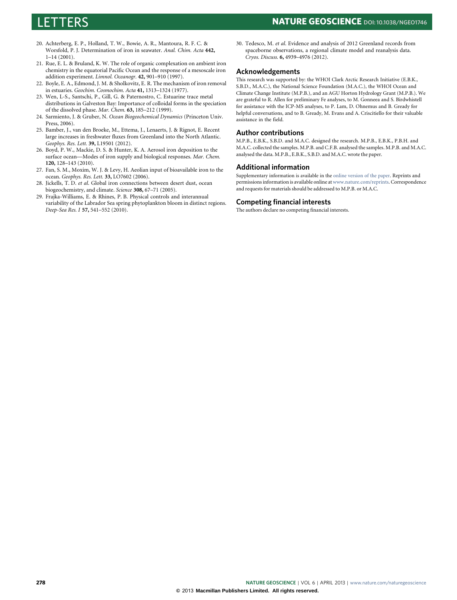# LETTERS **NATURE GEOSCIENCE DOI: [10.1038/NGEO1746](http://www.nature.com/doifinder/10.1038/ngeo1746)**

- <span id="page-4-0"></span>20. Achterberg, E. P., Holland, T. W., Bowie, A. R., Mantoura, R. F. C. & Worsfold, P. J. Determination of iron in seawater. *Anal. Chim. Acta* **442,** 1–14 (2001).
- <span id="page-4-1"></span>21. Rue, E. L. & Bruland, K. W. The role of organic complexation on ambient iron chemistry in the equatorial Pacific Ocean and the response of a mesoscale iron addition experiment. *Limnol. Oceanogr.* **42,** 901–910 (1997).
- <span id="page-4-2"></span>22. Boyle, E. A., Edmond, J. M. & Sholkovitz, E. R. The mechanism of iron removal in estuaries. *Geochim. Cosmochim. Acta* **41,** 1313–1324 (1977).
- <span id="page-4-3"></span>23. Wen, L-S., Santschi, P., Gill, G. & Paternostro, C. Estuarine trace metal distributions in Galveston Bay: Importance of colloidal forms in the speciation of the dissolved phase. *Mar. Chem.* **63,** 185–212 (1999).
- <span id="page-4-4"></span>24. Sarmiento, J. & Gruber, N. *Ocean Biogeochemical Dynamics* (Princeton Univ. Press, 2006).
- <span id="page-4-5"></span>25. Bamber, J., van den Broeke, M., Ettema, J., Lenaerts, J. & Rignot, E. Recent large increases in freshwater fluxes from Greenland into the North Atlantic. *Geophys. Res. Lett.* **39,** L19501 (2012).
- <span id="page-4-6"></span>26. Boyd, P. W., Mackie, D. S. & Hunter, K. A. Aerosol iron deposition to the surface ocean—Modes of iron supply and biological responses. *Mar. Chem.* **120,** 128–143 (2010).
- <span id="page-4-7"></span>27. Fan, S. M., Moxim, W. J. & Levy, H. Aeolian input of bioavailable iron to the ocean. *Geophys. Res. Lett.* **33,** LO7602 (2006).
- <span id="page-4-8"></span>28. Jickells, T. D. *et al*. Global iron connections between desert dust, ocean biogeochemistry, and climate. *Science* **308,** 67–71 (2005).
- <span id="page-4-9"></span>29. Frajka-Williams, E. & Rhines, P. B. Physical controls and interannual variability of the Labrador Sea spring phytoplankton bloom in distinct regions. *Deep-Sea Res. I* **57,** 541–552 (2010).

<span id="page-4-10"></span>30. Tedesco, M. *et al*. Evidence and analysis of 2012 Greenland records from spaceborne observations, a regional climate model and reanalysis data. *Cryos. Discuss.* **6,** 4939–4976 (2012).

# **Acknowledgements**

This research was supported by: the WHOI Clark Arctic Research Initiative (E.B.K., S.B.D., M.A.C.), the National Science Foundation (M.A.C.), the WHOI Ocean and Climate Change Institute (M.P.B.), and an AGU Horton Hydrology Grant (M.P.B.). We are grateful to R. Allen for preliminary Fe analyses, to M. Gonneea and S. Birdwhistell for assistance with the ICP-MS analyses, to P. Lam, D. Ohnemus and B. Gready for helpful conversations, and to B. Gready, M. Evans and A. Criscitiello for their valuable assistance in the field.

# **Author contributions**

M.P.B., E.B.K., S.B.D. and M.A.C. designed the research. M.P.B., E.B.K., P.B.H. and M.A.C. collected the samples. M.P.B. and C.F.B. analysed the samples. M.P.B. and M.A.C. analysed the data. M.P.B., E.B.K., S.B.D. and M.A.C. wrote the paper.

# **Additional information**

Supplementary information is available in the [online version of the paper.](http://www.nature.com/doifinder/10.1038/ngeo1746) Reprints and permissions information is available online at[www.nature.com/reprints.](http://www.nature.com/reprints) Correspondence and requests for materials should be addressed to M.P.B. or M.A.C.

### **Competing financial interests**

The authors declare no competing financial interests.